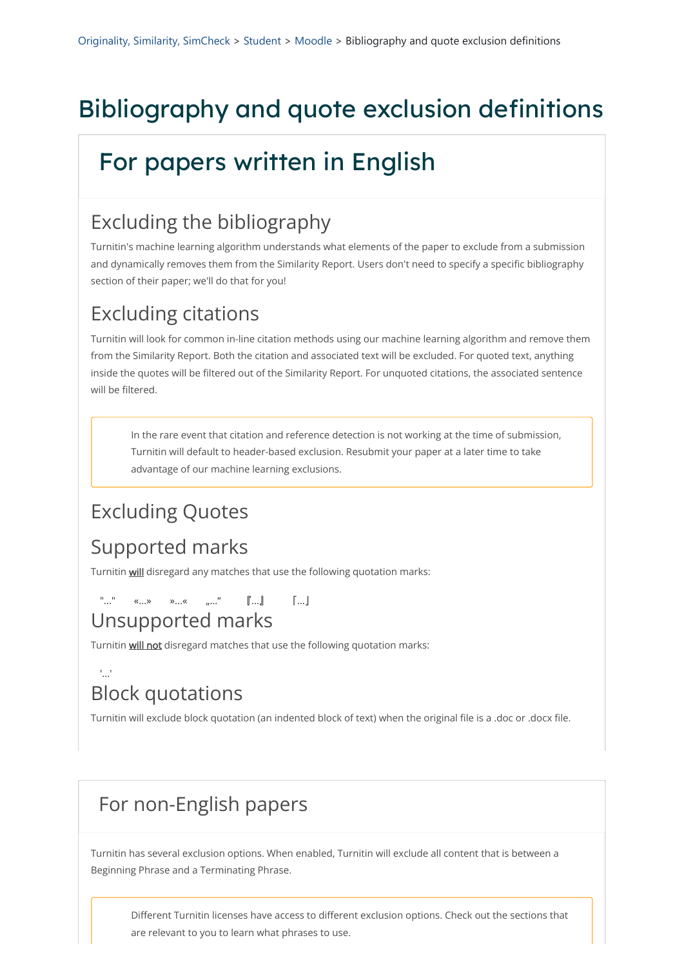# Bibliography and quote exclusion definitions

# For papers written in English

### Excluding the bibliography

Turnitin's machine learning algorithm understands what elements of the paper to exclude from a submission and dynamically removes them from the Similarity Report. Users don't need to specify a specific bibliography section of their paper; we'll do that for you!

## Excluding citations

"..." «...» »...« "..." 『...』 「...」 Unsupported marks

Turnitin will not disregard matches that use the following quotation marks:

Turnitin will look for common in-line citation methods using our machine learning algorithm and remove them from the Similarity Report. Both the citation and associated text will be excluded. For quoted text, anything inside the quotes will be filtered out of the Similarity Report. For unquoted citations, the associated sentence will be filtered.

#### $\frac{1}{2}$ ...' Block quotations

In the rare event that citation and reference detection is not working at the time of submission, Turnitin will default to header-based exclusion. Resubmit your paper at a later time to take advantage of our machine learning exclusions.

### Excluding Quotes

#### Supported marks

Turnitin **will** disregard any matches that use the following quotation marks:

Turnitin will exclude block quotation (an indented block of text) when the original file is a .doc or .docx file.

#### For non-English papers

Turnitin has several exclusion options. When enabled, Turnitin will exclude all content that is between a Beginning Phrase and a Terminating Phrase.

Different Turnitin licenses have access to different exclusion options. Check out the sections that are relevant to you to learn what phrases to use.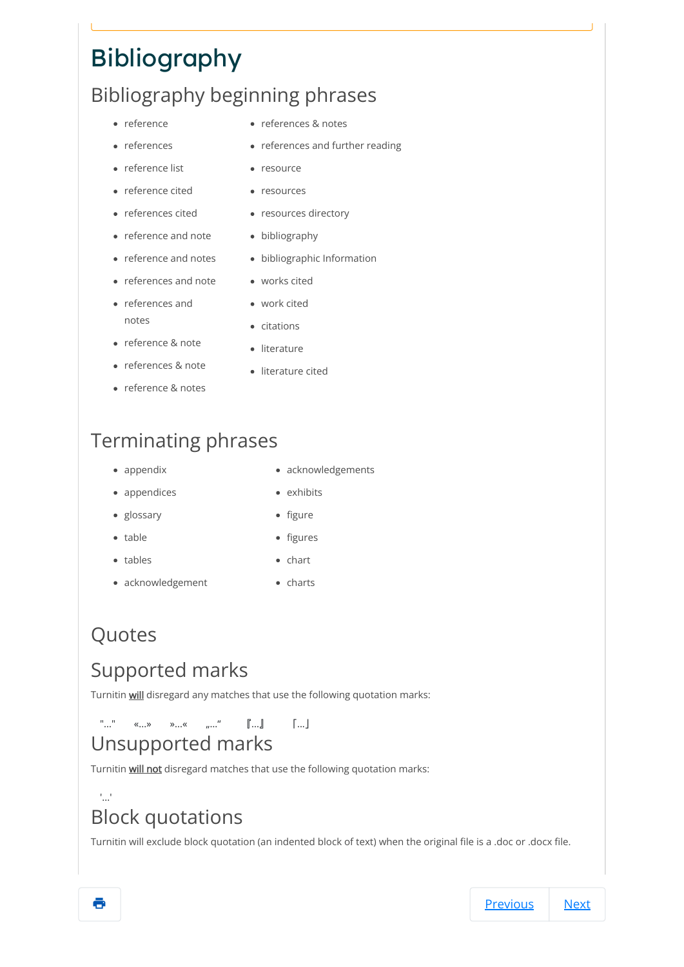# Bibliography

### Bibliography beginning phrases

- reference
- references
- reference list
- reference cited
- references cited
- reference and note bibliography
- reference and notes
- references and note
- references and notes
- reference & note
- references & note
- reference & notes
- references & notes
- references and further reading
- resource
- resources
- resources directory
- 
- bibliographic Information
- works cited
- work cited
- citations
- literature
- literature cited

### Terminating phrases

- appendix
- appendices
- glossary
- table
- tables
- chart
- acknowledgement
- 
- charts

# Quotes

### Supported marks

Turnitin **will** disregard any matches that use the following quotation marks:

"..." «...» »...« "..." 『...』 「...」

- acknowledgements
- exhibits
- figure
- 
- figures

#### Unsupported marks

Turnitin will not disregard matches that use the following quotation marks:

'...'

#### Block quotations

Turnitin will exclude block quotation (an indented block of text) when the original file is a .doc or .docx file.